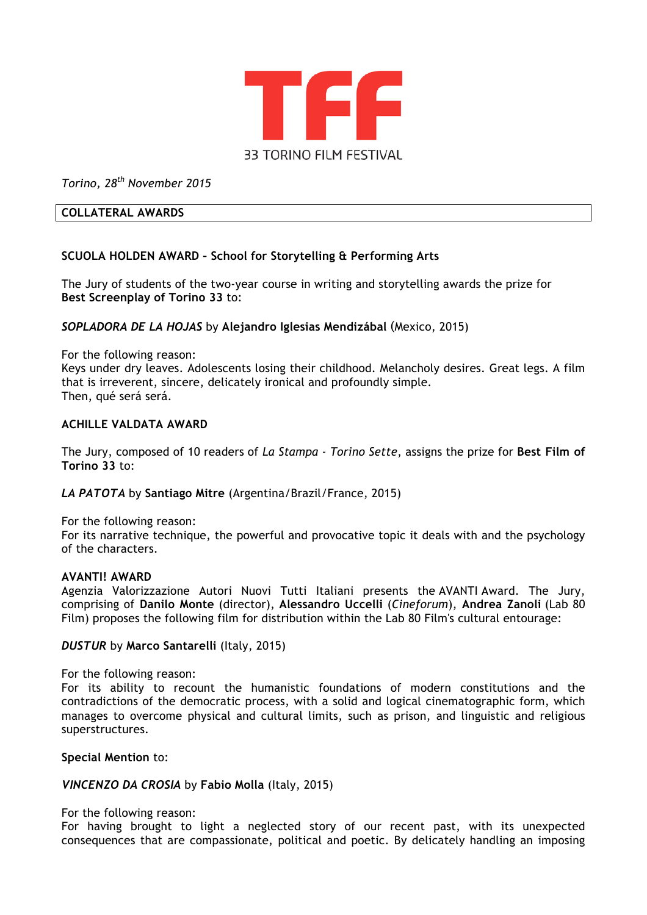

*Torino, 28th November 2015*

### **COLLATERAL AWARDS**

# **SCUOLA HOLDEN AWARD – School for Storytelling & Performing Arts**

The Jury of students of the two-year course in writing and storytelling awards the prize for **Best Screenplay of Torino 33** to:

## *SOPLADORA DE LA HOJAS* by **Alejandro Iglesias Mendizábal** (Mexico, 2015)

For the following reason: Keys under dry leaves. Adolescents losing their childhood. Melancholy desires. Great legs. A film that is irreverent, sincere, delicately ironical and profoundly simple. Then, qué será será.

## **ACHILLE VALDATA AWARD**

The Jury, composed of 10 readers of *La Stampa - Torino Sette*, assigns the prize for **Best Film of Torino 33** to:

### *LA PATOTA* by **Santiago Mitre** (Argentina/Brazil/France, 2015)

For the following reason:

For its narrative technique, the powerful and provocative topic it deals with and the psychology of the characters.

### **AVANTI! AWARD**

Agenzia Valorizzazione Autori Nuovi Tutti Italiani presents the AVANTI Award. The Jury, comprising of **Danilo Monte** (director), **Alessandro Uccelli** (*Cineforum*), **Andrea Zanoli** (Lab 80 Film) proposes the following film for distribution within the Lab 80 Film's cultural entourage:

### *DUSTUR* by **Marco Santarelli** (Italy, 2015)

For the following reason:

For its ability to recount the humanistic foundations of modern constitutions and the contradictions of the democratic process, with a solid and logical cinematographic form, which manages to overcome physical and cultural limits, such as prison, and linguistic and religious superstructures.

### **Special Mention** to:

### *VINCENZO DA CROSIA* by **Fabio Molla** (Italy, 2015)

For the following reason:

For having brought to light a neglected story of our recent past, with its unexpected consequences that are compassionate, political and poetic. By delicately handling an imposing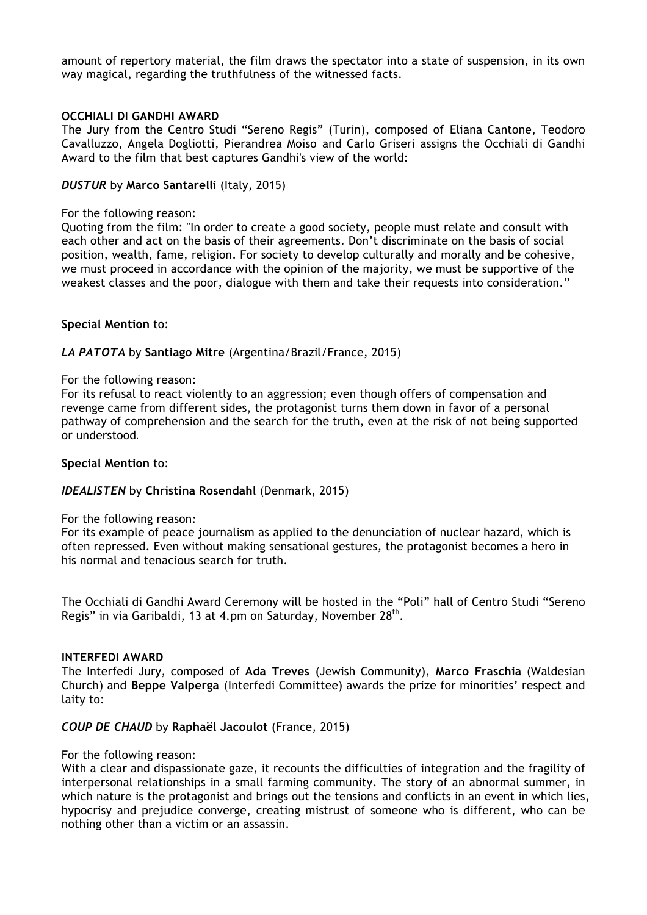amount of repertory material, the film draws the spectator into a state of suspension, in its own way magical, regarding the truthfulness of the witnessed facts.

## **OCCHIALI DI GANDHI AWARD**

The Jury from the Centro Studi "Sereno Regis" (Turin), composed of Eliana Cantone, Teodoro Cavalluzzo, Angela Dogliotti, Pierandrea Moiso and Carlo Griseri assigns the Occhiali di Gandhi Award to the film that best captures Gandhi's view of the world:

### *DUSTUR* by **Marco Santarelli** (Italy, 2015)

### For the following reason:

Quoting from the film: "In order to create a good society, people must relate and consult with each other and act on the basis of their agreements. Don't discriminate on the basis of social position, wealth, fame, religion. For society to develop culturally and morally and be cohesive, we must proceed in accordance with the opinion of the majority, we must be supportive of the weakest classes and the poor, dialogue with them and take their requests into consideration."

## **Special Mention** to:

# *LA PATOTA* by **Santiago Mitre** (Argentina/Brazil/France, 2015)

### For the following reason:

For its refusal to react violently to an aggression; even though offers of compensation and revenge came from different sides, the protagonist turns them down in favor of a personal pathway of comprehension and the search for the truth, even at the risk of not being supported or understood.

### **Special Mention** to:

# *IDEALISTEN* by **Christina Rosendahl** (Denmark, 2015)

For the following reason*:* 

For its example of peace journalism as applied to the denunciation of nuclear hazard, which is often repressed. Even without making sensational gestures, the protagonist becomes a hero in his normal and tenacious search for truth.

The Occhiali di Gandhi Award Ceremony will be hosted in the "Poli" hall of Centro Studi "Sereno Regis" in via Garibaldi, 13 at 4.pm on Saturday, November 28<sup>th</sup>.

### **INTERFEDI AWARD**

The Interfedi Jury, composed of **Ada Treves** (Jewish Community), **Marco Fraschia** (Waldesian Church) and **Beppe Valperga** (Interfedi Committee) awards the prize for minorities' respect and laity to:

### *COUP DE CHAUD* by **Raphaël Jacoulot** (France, 2015)

### For the following reason:

With a clear and dispassionate gaze, it recounts the difficulties of integration and the fragility of interpersonal relationships in a small farming community. The story of an abnormal summer, in which nature is the protagonist and brings out the tensions and conflicts in an event in which lies, hypocrisy and prejudice converge, creating mistrust of someone who is different, who can be nothing other than a victim or an assassin.